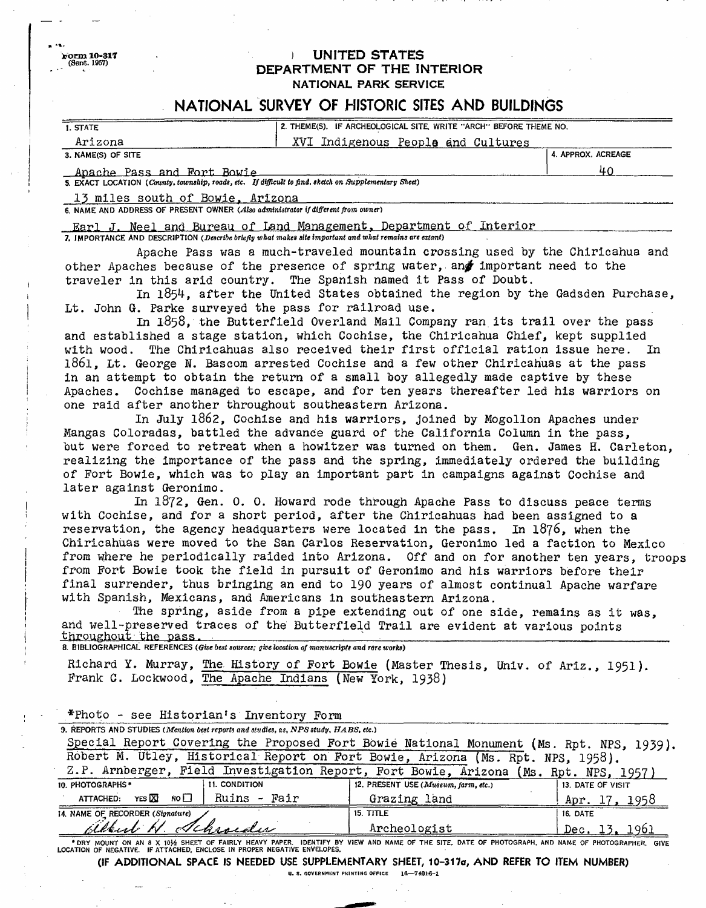**(Sent. 1957) ) UNITED STATES DEPARTMENT OF THE INTERIOR NATIONAL PARK SERVICE**

## **NATIONAL SURVEY OF HISTORIC SITES AND BUILDINGS**

| 2. THEME(S), IF ARCHEOLOGICAL SITE, WRITE "ARCH" BEFORE THEME NO.<br><b>1. STATE</b>                  |                                    |                    |
|-------------------------------------------------------------------------------------------------------|------------------------------------|--------------------|
|                                                                                                       |                                    |                    |
| Arizona                                                                                               | XVI Indigenous People and Cultures |                    |
| 3. NAME(S) OF SITE                                                                                    |                                    | 4. APPROX. ACREAGE |
| Apache Pass and Fort Bowie                                                                            |                                    |                    |
| 5. EXACT LOCATION (County, township, roads, etc. If difficult to find, sketch on Supplementary Sheet) |                                    |                    |

13 miles south of Bowie, Arizona

*6.* NAME AND ADDRESS OF PRESENT OWNER *(Also administrator if different from owner)*

Earl J. Neel and Bureau of Land Management, Department of Interior 7. IMPORTANCE AND DESCRIPTION *(Describe briefly what makes site important and what remains are extant)*

Apache Pass was a much-traveled mountain crossing used by the Chiricahua and other Apaches because of the presence of spring water, and important need to the traveler in this arid country. The Spanish named it Pass of Doubt.

In 1854, after the United States obtained the region by the Gadsden Purchase, Lt. John G. Parke surveyed the pass for railroad use.

In 1858, the Butterfield Overland Mail Company ran its trail over the pass and established a stage station, which Cochise, the Chiricahua Chief, kept supplied with wood. The Chiricahuas also received their first official ration issue here. In l86l, Lt. George N. Bascom arrested Cochise and a few other Chiricahuas at the pass in an attempt to obtain the return of a small boy allegedly made captive by these Apaches. Cochise managed to escape, and for ten years thereafter led his warriors on one raid after another throughout southeastern Arizona.

In July 1862, Cochise and his warriors, joined by Mogollon Apaches under Mangas Coloradas, battled the advance guard of the California Column in the pass, but were forced to retreat when a howitzer was turned on them. Gen. James H. Carleton, realizing the Importance of the pass and the spring, immediately ordered the building of Fort Bowie, which was to play an important part in campaigns against Cochise and later against Geronimo.

In 1872, Gen. 0. 0. Howard rode through Apache Pass to discuss peace terms with Cochise, and for a short period, after the Chiricahuas had been assigned to a reservation, the agency headquarters were located in the pass. In 1876, when the Chiricahuas were moved to the San Carlos Reservation, Geronimo led a faction to Mexico from where he periodically raided into Arizona. Off and on for another ten years, troops from Fort Bowie took the field in pursuit of Geronimo and his warriors before their final surrender, thus bringing an end to 190 years of almost continual Apache warfare with Spanish, Mexicans, and Americans in southeastern Arizona.

The spring, aside from a pipe extending out of one side, remains as it was, and well-preserved traces of the Butterfield Trail are evident at various points throughout the pass.<br>8. BIBLIOGRAPHICAL REFERENCES *(Give best sources; give location of manuscripts and rare works*)

Richard Y. Murray, The. History of Fort Bowie (Master Thesis, Univ. of Ariz., 1951). Frank C. Lockwood, The Apache Indians (New York, 1938)

\*Photo - see Historian's .Inventory Form

| 9. REPORTS AND STUDIES (Mention best reports and studies, as, NPS study, HABS, etc.)    |                                      |                   |  |
|-----------------------------------------------------------------------------------------|--------------------------------------|-------------------|--|
| Special Report Covering the Proposed Fort Bowie National Monument (Ms. Rpt. NPS, 1939). |                                      |                   |  |
| Robert M. Utley, Historical Report on Fort Bowie, Arizona (Ms. Rpt. NPS, 1958).         |                                      |                   |  |
| Z.P. Arnberger, Field Investigation Report, Fort Bowie, Arizona (Ms. Rpt. NPS, 1957)    |                                      |                   |  |
| <b>11. CONDITION</b><br>10. PHOTOGRAPHS *                                               | 12. PRESENT USE (Museum, farm, etc.) | 13. DATE OF VISIT |  |
| ATTACHED: YES X<br>  Ruins - Fair<br>NO <sub>1</sub>                                    | Grazing land                         | Apr. 17, 1958     |  |
| 14. NAME OF RECORDER (Signature)                                                        | <b>15. TITLE</b>                     | 16. DATE          |  |
| albert H. Schroeder                                                                     | Archeologist                         | Dec. 13, 1961     |  |

DRY MOUNT ON AN 8 X 10½ SHEET OF FAIRLY HEAVY PAPER. IDENTIFY BY VIEW AND NAME OF THE SITE, DATE OF PHOTOGRAPH, AND NAME OF PHOTOGRAPHER. GIVE "DOTTOGRAPHER, GIVE AND SALLY STARBER AND NAME OF PHOTOGRAPHER. GIVE<br>LOCATION O

(IF ADDITIONAL SPACE IS NEEDED USE SUPPLEMENTARY SHEET, 10-317a, AND REFER TO ITEM NUMBER)

U. S. GOVERNMENT PRINTING OFFICE **16 7\*016-1**

**rorm 10-317**<br>(Sent. 1957)